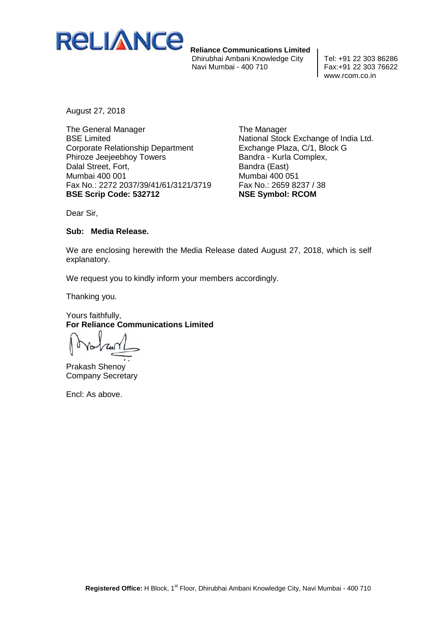

 **Reliance Communications Limited** Dhirubhai Ambani Knowledge City Tel: +91 22 303 86286 Navi Mumbai - 400 710

www.rcom.co.in

August 27, 2018

The General Manager BSE Limited Corporate Relationship Department Phiroze Jeejeebhoy Towers Dalal Street, Fort, Mumbai 400 001 Fax No.: 2272 2037/39/41/61/3121/3719 **BSE Scrip Code: 532712**

The Manager National Stock Exchange of India Ltd. Exchange Plaza, C/1, Block G Bandra - Kurla Complex, Bandra (East) Mumbai 400 051 Fax No.: 2659 8237 / 38 **NSE Symbol: RCOM**

Dear Sir,

## **Sub: Media Release.**

We are enclosing herewith the Media Release dated August 27, 2018, which is self explanatory.

We request you to kindly inform your members accordingly.

Thanking you.

Yours faithfully, **For Reliance Communications Limited**

Prakash Shenoy Company Secretary

Encl: As above.